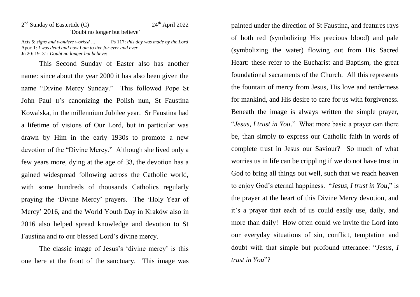## 2<sup>nd</sup> Sunday of Eastertide (C) 24<sup>th</sup> April 2022 'Doubt no longer but believe'

Acts 5: *signs and wonders worked …* Ps 117: *this day was made by the Lord* Apoc 1: *I was dead and now I am to live for ever and ever* Jn 20: 19–31: *Doubt no longer but believe!*

This Second Sunday of Easter also has another name: since about the year 2000 it has also been given the name "Divine Mercy Sunday." This followed Pope St John Paul II'S canonizing the Polish nun, St Faustina Kowalska, in the millennium Jubilee year. Sr Faustina had a lifetime of visions of Our Lord, but in particular was drawn by Him in the early 1930s to promote a new devotion of the "Divine Mercy." Although she lived only a few years more, dying at the age of 33, the devotion has a gained widespread following across the Catholic world, with some hundreds of thousands Catholics regularly praying the 'Divine Mercy' prayers. The 'Holy Year of Mercy' 2016, and the World Youth Day in Kraków also in 2016 also helped spread knowledge and devotion to St Faustina and to our blessed Lord's divine mercy.

The classic image of Jesus's 'divine mercy' is this one here at the front of the sanctuary. This image was painted under the direction of St Faustina, and features rays of both red (symbolizing His precious blood) and pale (symbolizing the water) flowing out from His Sacred Heart: these refer to the Eucharist and Baptism, the great foundational sacraments of the Church. All this represents the fountain of mercy from Jesus, His love and tenderness for mankind, and His desire to care for us with forgiveness. Beneath the image is always written the simple prayer, "*Jesus, I trust in You*." What more basic a prayer can there be, than simply to express our Catholic faith in words of complete trust in Jesus our Saviour? So much of what worries us in life can be crippling if we do not have trust in God to bring all things out well, such that we reach heaven to enjoy God's eternal happiness. "*Jesus, I trust in You*," is the prayer at the heart of this Divine Mercy devotion, and it's a prayer that each of us could easily use, daily, and more than daily! How often could we invite the Lord into our everyday situations of sin, conflict, temptation and doubt with that simple but profound utterance: "*Jesus, I trust in You*"?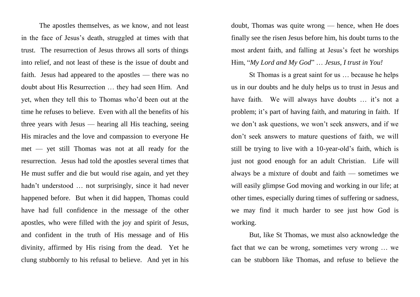The apostles themselves, as we know, and not least in the face of Jesus's death, struggled at times with that trust. The resurrection of Jesus throws all sorts of things into relief, and not least of these is the issue of doubt and faith. Jesus had appeared to the apostles — there was no doubt about His Resurrection … they had seen Him. And yet, when they tell this to Thomas who'd been out at the time he refuses to believe. Even with all the benefits of his three years with Jesus — hearing all His teaching, seeing His miracles and the love and compassion to everyone He met — yet still Thomas was not at all ready for the resurrection. Jesus had told the apostles several times that He must suffer and die but would rise again, and yet they hadn't understood … not surprisingly, since it had never happened before. But when it did happen, Thomas could have had full confidence in the message of the other apostles, who were filled with the joy and spirit of Jesus, and confident in the truth of His message and of His divinity, affirmed by His rising from the dead. Yet he clung stubbornly to his refusal to believe. And yet in his

doubt, Thomas was quite wrong — hence, when He does finally see the risen Jesus before him, his doubt turns to the most ardent faith, and falling at Jesus's feet he worships Him, "*My Lord and My God*" … *Jesus, I trust in You!*

St Thomas is a great saint for us … because he helps us in our doubts and he duly helps us to trust in Jesus and have faith. We will always have doubts ... it's not a problem; it's part of having faith, and maturing in faith. If we don't ask questions, we won't seek answers, and if we don't seek answers to mature questions of faith, we will still be trying to live with a 10-year-old's faith, which is just not good enough for an adult Christian. Life will always be a mixture of doubt and faith — sometimes we will easily glimpse God moving and working in our life; at other times, especially during times of suffering or sadness, we may find it much harder to see just how God is working.

But, like St Thomas, we must also acknowledge the fact that we can be wrong, sometimes very wrong … we can be stubborn like Thomas, and refuse to believe the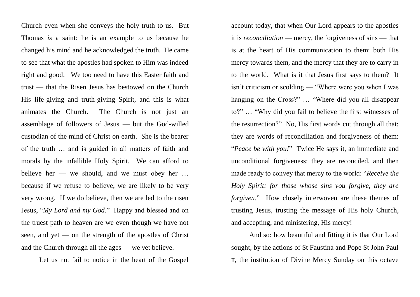Church even when she conveys the holy truth to us. But Thomas *is* a saint: he is an example to us because he changed his mind and he acknowledged the truth. He came to see that what the apostles had spoken to Him was indeed right and good. We too need to have this Easter faith and trust — that the Risen Jesus has bestowed on the Church His life-giving and truth-giving Spirit, and this is what animates the Church. The Church is not just an assemblage of followers of Jesus — but the God-willed custodian of the mind of Christ on earth. She is the bearer of the truth … and is guided in all matters of faith and morals by the infallible Holy Spirit. We can afford to believe her — we should, and we must obey her … because if we refuse to believe, we are likely to be very very wrong. If we do believe, then we are led to the risen Jesus, "*My Lord and my God*." Happy and blessed and on the truest path to heaven are we even though we have not seen, and yet — on the strength of the apostles of Christ and the Church through all the ages — we yet believe.

Let us not fail to notice in the heart of the Gospel

account today, that when Our Lord appears to the apostles it is *reconciliation* — mercy, the forgiveness of sins — that is at the heart of His communication to them: both His mercy towards them, and the mercy that they are to carry in to the world. What is it that Jesus first says to them? It isn't criticism or scolding — "Where were you when I was hanging on the Cross?" … "Where did you all disappear to?" … "Why did you fail to believe the first witnesses of the resurrection?" No, His first words cut through all that; they are words of reconciliation and forgiveness of them: "*Peace be with you!*" Twice He says it, an immediate and unconditional forgiveness: they are reconciled, and then made ready to convey that mercy to the world: "*Receive the Holy Spirit: for those whose sins you forgive, they are forgiven*." How closely interwoven are these themes of trusting Jesus, trusting the message of His holy Church, and accepting, and ministering, His mercy!

And so: how beautiful and fitting it is that Our Lord sought, by the actions of St Faustina and Pope St John Paul II, the institution of Divine Mercy Sunday on this octave